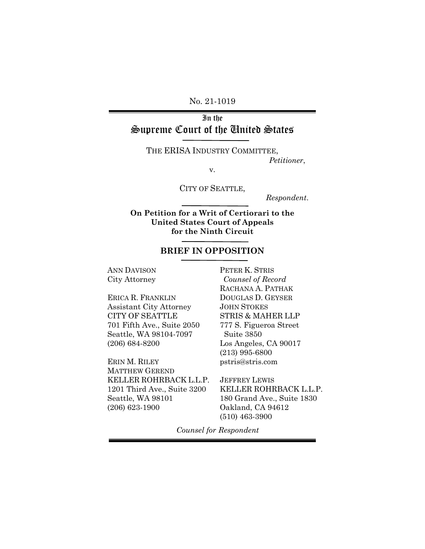No. 21-1019

## In the Supreme Court of the United States

THE ERISA INDUSTRY COMMITTEE,

*Petitioner*,

v.

CITY OF SEATTLE,

*Respondent*.

**On Petition for a Writ of Certiorari to the United States Court of Appeals for the Ninth Circuit** 

### **BRIEF IN OPPOSITION**

ANN DAVISON City Attorney

ERICA R. FRANKLIN Assistant City Attorney CITY OF SEATTLE 701 Fifth Ave., Suite 2050 Seattle, WA 98104-7097 (206) 684-8200

ERIN M. RILEY MATTHEW GEREND KELLER ROHRBACK L.L.P. 1201 Third Ave., Suite 3200 Seattle, WA 98101 (206) 623-1900

PETER K. STRIS *Counsel of Record*  RACHANA A. PATHAK DOUGLAS D. GEYSER JOHN STOKES STRIS & MAHER LLP 777 S. Figueroa Street Suite 3850 Los Angeles, CA 90017 (213) 995-6800 pstris@stris.com

JEFFREY LEWIS KELLER ROHRBACK L.L.P. 180 Grand Ave., Suite 1830 Oakland, CA 94612 (510) 463-3900

*Counsel for Respondent*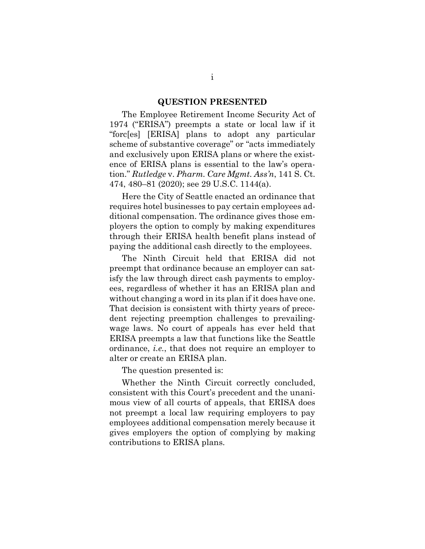#### **QUESTION PRESENTED**

The Employee Retirement Income Security Act of 1974 ("ERISA") preempts a state or local law if it "forc[es] [ERISA] plans to adopt any particular scheme of substantive coverage" or "acts immediately and exclusively upon ERISA plans or where the existence of ERISA plans is essential to the law's operation." *Rutledge* v. *Pharm. Care Mgmt. Ass'n*, 141 S. Ct. 474, 480–81 (2020); see 29 U.S.C. 1144(a).

Here the City of Seattle enacted an ordinance that requires hotel businesses to pay certain employees additional compensation. The ordinance gives those employers the option to comply by making expenditures through their ERISA health benefit plans instead of paying the additional cash directly to the employees.

The Ninth Circuit held that ERISA did not preempt that ordinance because an employer can satisfy the law through direct cash payments to employees, regardless of whether it has an ERISA plan and without changing a word in its plan if it does have one. That decision is consistent with thirty years of precedent rejecting preemption challenges to prevailingwage laws. No court of appeals has ever held that ERISA preempts a law that functions like the Seattle ordinance, *i.e.*, that does not require an employer to alter or create an ERISA plan.

The question presented is:

Whether the Ninth Circuit correctly concluded, consistent with this Court's precedent and the unanimous view of all courts of appeals, that ERISA does not preempt a local law requiring employers to pay employees additional compensation merely because it gives employers the option of complying by making contributions to ERISA plans.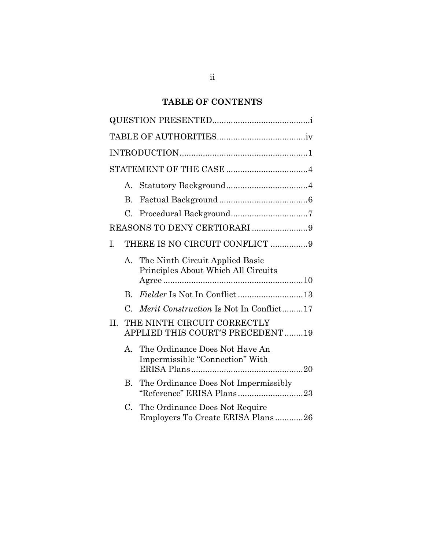## **TABLE OF CONTENTS**

|                              | А.                                                              |                                                                        |  |  |  |
|------------------------------|-----------------------------------------------------------------|------------------------------------------------------------------------|--|--|--|
|                              | <b>B.</b>                                                       |                                                                        |  |  |  |
|                              | $C_{\cdot}$                                                     |                                                                        |  |  |  |
| REASONS TO DENY CERTIORARI 9 |                                                                 |                                                                        |  |  |  |
| I.                           |                                                                 | THERE IS NO CIRCUIT CONFLICT 9                                         |  |  |  |
|                              | Α.                                                              | The Ninth Circuit Applied Basic<br>Principles About Which All Circuits |  |  |  |
|                              | <b>B.</b>                                                       | Fielder Is Not In Conflict 13                                          |  |  |  |
|                              | $\mathcal{C}$ .                                                 | <i>Merit Construction</i> Is Not In Conflict17                         |  |  |  |
| II.                          | THE NINTH CIRCUIT CORRECTLY<br>APPLIED THIS COURT'S PRECEDENT19 |                                                                        |  |  |  |
|                              | $\mathsf{A}$ .                                                  | The Ordinance Does Not Have An<br>Impermissible "Connection" With      |  |  |  |
|                              | В.                                                              | The Ordinance Does Not Impermissibly                                   |  |  |  |
|                              | C.                                                              | The Ordinance Does Not Require<br>Employers To Create ERISA Plans26    |  |  |  |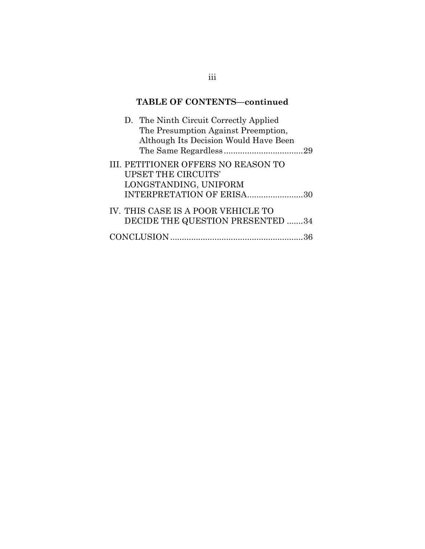# **TABLE OF CONTENTS—continued**

| D. The Ninth Circuit Correctly Applied<br>The Presumption Against Preemption,<br>Although Its Decision Would Have Been |  |
|------------------------------------------------------------------------------------------------------------------------|--|
| III. PETITIONER OFFERS NO REASON TO<br><b>UPSET THE CIRCUITS'</b>                                                      |  |
| LONGSTANDING, UNIFORM<br>INTERPRETATION OF ERISA30                                                                     |  |
|                                                                                                                        |  |
| IV. THIS CASE IS A POOR VEHICLE TO<br>DECIDE THE QUESTION PRESENTED 34                                                 |  |
|                                                                                                                        |  |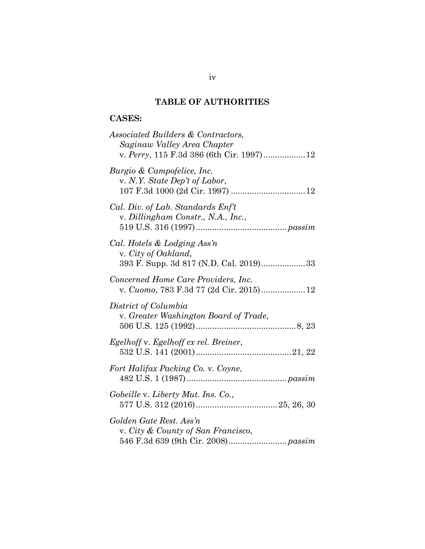# **TABLE OF AUTHORITIES**

## **CASES:**

| Associated Builders & Contractors,<br>Saginaw Valley Area Chapter<br>v. Perry, 115 F.3d 386 (6th Cir. 1997)12 |
|---------------------------------------------------------------------------------------------------------------|
| Burgio & Campofelice, Inc.<br>v. N.Y. State Dep't of Labor,                                                   |
| Cal. Div. of Lab. Standards Enf't<br>v. Dillingham Constr., N.A., Inc.,                                       |
| Cal. Hotels & Lodging Ass'n<br>v. City of Oakland,<br>393 F. Supp. 3d 817 (N.D. Cal. 2019)33                  |
| Concerned Home Care Providers, Inc.<br>v. Cuomo, 783 F.3d 77 (2d Cir. 2015) 12                                |
| District of Columbia<br>v. Greater Washington Board of Trade,                                                 |
| Egelhoff v. Egelhoff ex rel. Breiner,                                                                         |
| Fort Halifax Packing Co. v. Coyne,                                                                            |
| Gobeille v. Liberty Mut. Ins. Co.,                                                                            |
| Golden Gate Rest. Ass'n<br>v. City & County of San Francisco,                                                 |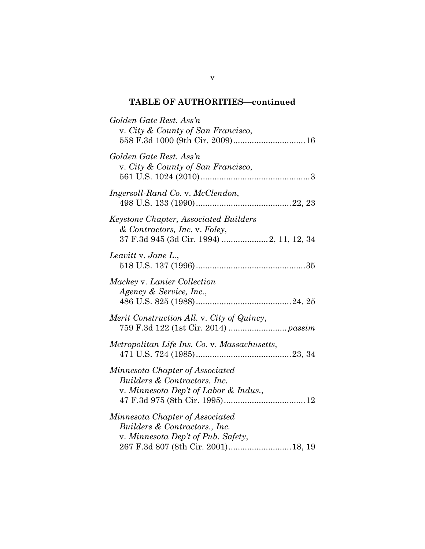| Golden Gate Rest. Ass'n<br>v. City & County of San Francisco,<br>558 F.3d 1000 (9th Cir. 2009)16                                              |
|-----------------------------------------------------------------------------------------------------------------------------------------------|
| Golden Gate Rest. Ass'n<br>v. City & County of San Francisco,                                                                                 |
| Ingersoll-Rand Co. v. McClendon,                                                                                                              |
| Keystone Chapter, Associated Builders<br>& Contractors, Inc. v. Foley,<br>37 F.3d 945 (3d Cir. 1994)  2, 11, 12, 34                           |
| Leavitt v. Jane L.,                                                                                                                           |
| Mackey v. Lanier Collection<br>Agency & Service, Inc.,                                                                                        |
| Merit Construction All. v. City of Quincy,                                                                                                    |
| Metropolitan Life Ins. Co. v. Massachusetts,                                                                                                  |
| Minnesota Chapter of Associated<br>Builders & Contractors, Inc.<br>v. Minnesota Dep't of Labor & Indus.,                                      |
| Minnesota Chapter of Associated<br>Builders & Contractors., Inc.<br>v. Minnesota Dep't of Pub. Safety,<br>267 F.3d 807 (8th Cir. 2001) 18, 19 |

v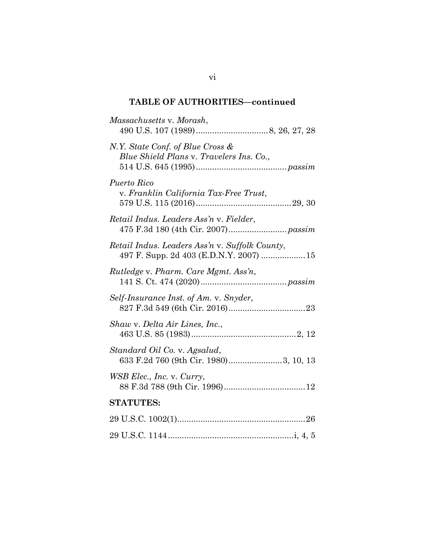| Massachusetts v. Morash,                                                     |  |  |
|------------------------------------------------------------------------------|--|--|
| N.Y. State Conf. of Blue Cross &<br>Blue Shield Plans v. Travelers Ins. Co., |  |  |
| Puerto Rico<br>v. Franklin California Tax-Free Trust,                        |  |  |
| Retail Indus. Leaders Ass'n v. Fielder,                                      |  |  |
| Retail Indus. Leaders Ass'n v. Suffolk County,                               |  |  |
| Rutledge v. Pharm. Care Mgmt. Ass'n,                                         |  |  |
| Self-Insurance Inst. of Am. v. Snyder,                                       |  |  |
| Shaw v. Delta Air Lines, Inc.,                                               |  |  |
| Standard Oil Co. v. Agsalud,<br>633 F.2d 760 (9th Cir. 1980)3, 10, 13        |  |  |
| WSB Elec., Inc. v. Curry,                                                    |  |  |
| <b>STATUTES:</b>                                                             |  |  |
|                                                                              |  |  |
|                                                                              |  |  |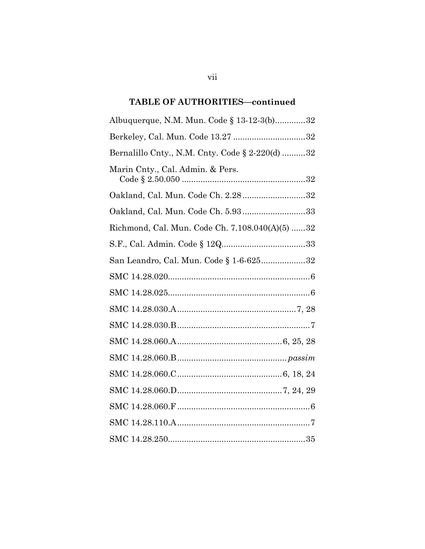| Albuquerque, N.M. Mun. Code § 13-12-3(b)32      |
|-------------------------------------------------|
| Berkeley, Cal. Mun. Code 13.27 32               |
| Bernalillo Cnty., N.M. Cnty. Code § 2-220(d) 32 |
| Marin Cnty., Cal. Admin. & Pers.                |
| Oakland, Cal. Mun. Code Ch. 2.2832              |
| Oakland, Cal. Mun. Code Ch. 5.93 33             |
| Richmond, Cal. Mun. Code Ch. 7.108.040(A)(5) 32 |
|                                                 |
| San Leandro, Cal. Mun. Code § 1-6-62532         |
|                                                 |
|                                                 |
|                                                 |
|                                                 |
|                                                 |
|                                                 |
|                                                 |
|                                                 |
|                                                 |
|                                                 |
|                                                 |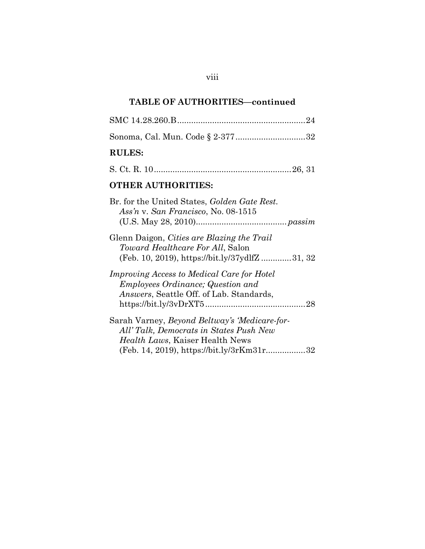| Sonoma, Cal. Mun. Code § 2-37732                                                                                                                                         |
|--------------------------------------------------------------------------------------------------------------------------------------------------------------------------|
| <b>RULES:</b>                                                                                                                                                            |
|                                                                                                                                                                          |
| <b>OTHER AUTHORITIES:</b>                                                                                                                                                |
| Br. for the United States, Golden Gate Rest.<br>Ass'n v. San Francisco, No. 08-1515                                                                                      |
| Glenn Daigon, Cities are Blazing the Trail<br><i>Toward Healthcare For All, Salon</i><br>(Feb. 10, 2019), https://bit.ly/37ydlfZ31, 32                                   |
| <i>Improving Access to Medical Care for Hotel</i><br>Employees Ordinance; Question and<br><i>Answers</i> , Seattle Off. of Lab. Standards,                               |
| Sarah Varney, Beyond Beltway's 'Medicare-for-<br>All' Talk, Democrats in States Push New<br>Health Laws, Kaiser Health News<br>(Feb. 14, 2019), https://bit.ly/3rKm31r32 |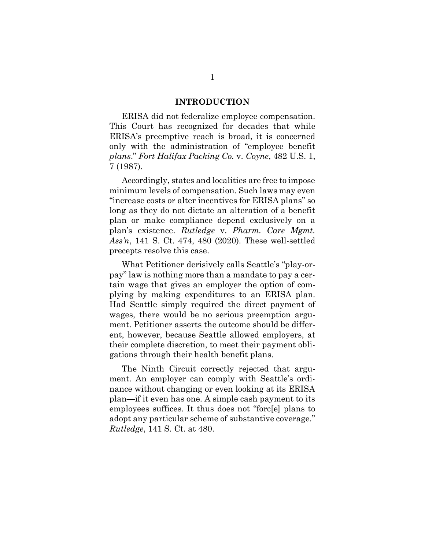#### **INTRODUCTION**

ERISA did not federalize employee compensation. This Court has recognized for decades that while ERISA's preemptive reach is broad, it is concerned only with the administration of "employee benefit *plans*." *Fort Halifax Packing Co.* v. *Coyne*, 482 U.S. 1, 7 (1987).

Accordingly, states and localities are free to impose minimum levels of compensation. Such laws may even "increase costs or alter incentives for ERISA plans" so long as they do not dictate an alteration of a benefit plan or make compliance depend exclusively on a plan's existence. *Rutledge* v. *Pharm. Care Mgmt. Ass'n*, 141 S. Ct. 474, 480 (2020). These well-settled precepts resolve this case.

What Petitioner derisively calls Seattle's "play-orpay" law is nothing more than a mandate to pay a certain wage that gives an employer the option of complying by making expenditures to an ERISA plan. Had Seattle simply required the direct payment of wages, there would be no serious preemption argument. Petitioner asserts the outcome should be different, however, because Seattle allowed employers, at their complete discretion, to meet their payment obligations through their health benefit plans.

The Ninth Circuit correctly rejected that argument. An employer can comply with Seattle's ordinance without changing or even looking at its ERISA plan—if it even has one. A simple cash payment to its employees suffices. It thus does not "forc[e] plans to adopt any particular scheme of substantive coverage." *Rutledge*, 141 S. Ct. at 480.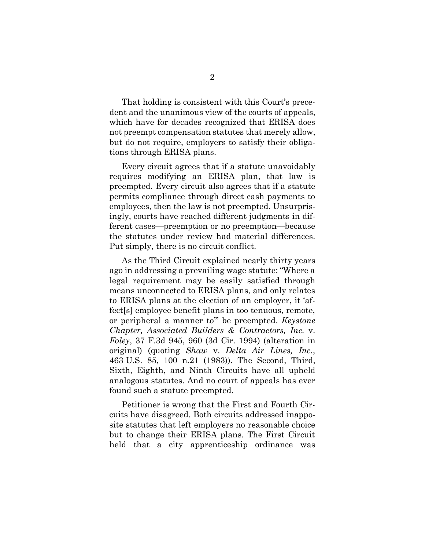That holding is consistent with this Court's precedent and the unanimous view of the courts of appeals, which have for decades recognized that ERISA does not preempt compensation statutes that merely allow, but do not require, employers to satisfy their obligations through ERISA plans.

Every circuit agrees that if a statute unavoidably requires modifying an ERISA plan, that law is preempted. Every circuit also agrees that if a statute permits compliance through direct cash payments to employees, then the law is not preempted. Unsurprisingly, courts have reached different judgments in different cases—preemption or no preemption—because the statutes under review had material differences. Put simply, there is no circuit conflict.

As the Third Circuit explained nearly thirty years ago in addressing a prevailing wage statute: "Where a legal requirement may be easily satisfied through means unconnected to ERISA plans, and only relates to ERISA plans at the election of an employer, it 'affect[s] employee benefit plans in too tenuous, remote, or peripheral a manner to'" be preempted. *Keystone Chapter, Associated Builders & Contractors, Inc.* v. *Foley*, 37 F.3d 945, 960 (3d Cir. 1994) (alteration in original) (quoting *Shaw* v. *Delta Air Lines, Inc.*, 463 U.S. 85, 100 n.21 (1983)). The Second, Third, Sixth, Eighth, and Ninth Circuits have all upheld analogous statutes. And no court of appeals has ever found such a statute preempted.

Petitioner is wrong that the First and Fourth Circuits have disagreed. Both circuits addressed inapposite statutes that left employers no reasonable choice but to change their ERISA plans. The First Circuit held that a city apprenticeship ordinance was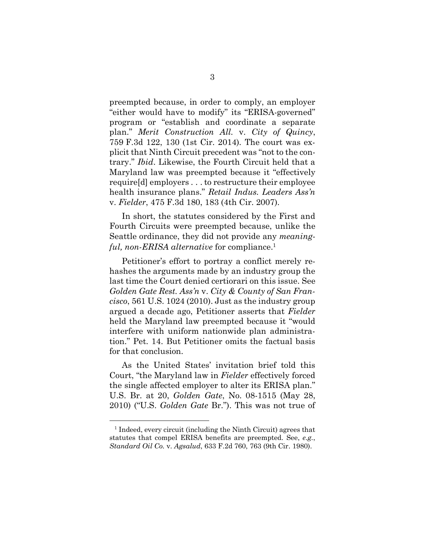preempted because, in order to comply, an employer "either would have to modify" its "ERISA-governed" program or "establish and coordinate a separate plan." *Merit Construction All.* v. *City of Quincy*, 759 F.3d 122, 130 (1st Cir. 2014)*.* The court was explicit that Ninth Circuit precedent was "not to the contrary." *Ibid*. Likewise, the Fourth Circuit held that a Maryland law was preempted because it "effectively require[d] employers . . . to restructure their employee health insurance plans." *Retail Indus. Leaders Ass'n* v. *Fielder*, 475 F.3d 180, 183 (4th Cir. 2007).

In short, the statutes considered by the First and Fourth Circuits were preempted because, unlike the Seattle ordinance, they did not provide any *meaning*ful, non-ERISA alternative for compliance.<sup>1</sup>

Petitioner's effort to portray a conflict merely rehashes the arguments made by an industry group the last time the Court denied certiorari on this issue. See *Golden Gate Rest. Ass'n* v. *City & County of San Francisco*, 561 U.S. 1024 (2010). Just as the industry group argued a decade ago, Petitioner asserts that *Fielder* held the Maryland law preempted because it "would interfere with uniform nationwide plan administration." Pet. 14. But Petitioner omits the factual basis for that conclusion.

As the United States' invitation brief told this Court, "the Maryland law in *Fielder* effectively forced the single affected employer to alter its ERISA plan." U.S. Br. at 20, *Golden Gate*, No. 08-1515 (May 28, 2010) ("U.S. *Golden Gate* Br."). This was not true of

<sup>&</sup>lt;sup>1</sup> Indeed, every circuit (including the Ninth Circuit) agrees that statutes that compel ERISA benefits are preempted. See, *e.g.*, *Standard Oil Co.* v. *Agsalud*, 633 F.2d 760, 763 (9th Cir. 1980).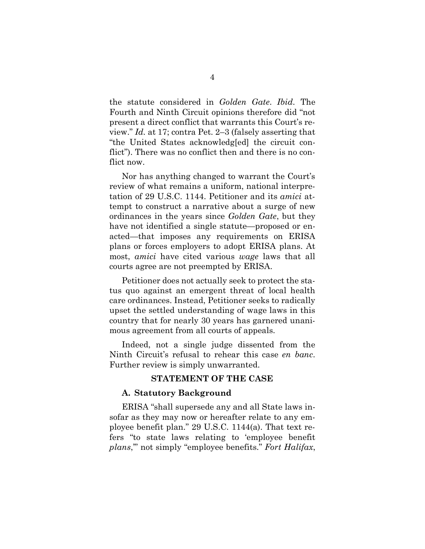the statute considered in *Golden Gate*. *Ibid.* The Fourth and Ninth Circuit opinions therefore did "not present a direct conflict that warrants this Court's review." *Id.* at 17; contra Pet. 2–3 (falsely asserting that "the United States acknowledg[ed] the circuit conflict"). There was no conflict then and there is no conflict now.

Nor has anything changed to warrant the Court's review of what remains a uniform, national interpretation of 29 U.S.C. 1144. Petitioner and its *amici* attempt to construct a narrative about a surge of new ordinances in the years since *Golden Gate*, but they have not identified a single statute—proposed or enacted—that imposes any requirements on ERISA plans or forces employers to adopt ERISA plans. At most, *amici* have cited various *wage* laws that all courts agree are not preempted by ERISA.

Petitioner does not actually seek to protect the status quo against an emergent threat of local health care ordinances. Instead, Petitioner seeks to radically upset the settled understanding of wage laws in this country that for nearly 30 years has garnered unanimous agreement from all courts of appeals.

Indeed, not a single judge dissented from the Ninth Circuit's refusal to rehear this case *en banc*. Further review is simply unwarranted.

#### **STATEMENT OF THE CASE**

#### **A. Statutory Background**

ERISA "shall supersede any and all State laws insofar as they may now or hereafter relate to any employee benefit plan." 29 U.S.C. 1144(a). That text refers "to state laws relating to 'employee benefit *plans*,'" not simply "employee benefits." *Fort Halifax*,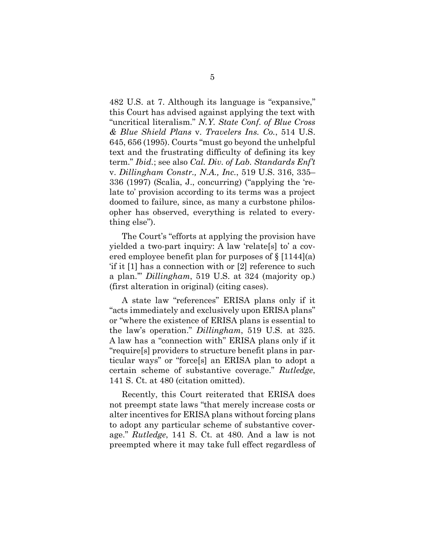482 U.S. at 7. Although its language is "expansive," this Court has advised against applying the text with "uncritical literalism." *N.Y. State Conf. of Blue Cross & Blue Shield Plans* v. *Travelers Ins. Co.*, 514 U.S. 645, 656 (1995). Courts "must go beyond the unhelpful text and the frustrating difficulty of defining its key term." *Ibid.*; see also *Cal. Div. of Lab. Standards Enf't*  v. *Dillingham Constr., N.A., Inc.*, 519 U.S. 316, 335– 336 (1997) (Scalia, J., concurring) ("applying the 'relate to' provision according to its terms was a project doomed to failure, since, as many a curbstone philosopher has observed, everything is related to everything else").

The Court's "efforts at applying the provision have yielded a two-part inquiry: A law 'relate[s] to' a covered employee benefit plan for purposes of § [1144](a) 'if it [1] has a connection with or [2] reference to such a plan.'" *Dillingham*, 519 U.S. at 324 (majority op.) (first alteration in original) (citing cases).

A state law "references" ERISA plans only if it "acts immediately and exclusively upon ERISA plans" or "where the existence of ERISA plans is essential to the law's operation." *Dillingham*, 519 U.S. at 325. A law has a "connection with" ERISA plans only if it "require[s] providers to structure benefit plans in particular ways" or "force[s] an ERISA plan to adopt a certain scheme of substantive coverage." *Rutledge*, 141 S. Ct. at 480 (citation omitted).

Recently, this Court reiterated that ERISA does not preempt state laws "that merely increase costs or alter incentives for ERISA plans without forcing plans to adopt any particular scheme of substantive coverage." *Rutledge*, 141 S. Ct. at 480*.* And a law is not preempted where it may take full effect regardless of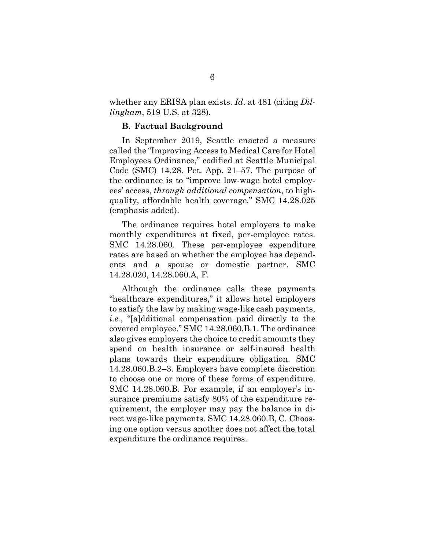whether any ERISA plan exists. *Id*. at 481 (citing *Dillingham*, 519 U.S. at 328).

#### **B. Factual Background**

In September 2019, Seattle enacted a measure called the "Improving Access to Medical Care for Hotel Employees Ordinance," codified at Seattle Municipal Code (SMC) 14.28. Pet. App. 21–57. The purpose of the ordinance is to "improve low-wage hotel employees' access, *through additional compensation*, to highquality, affordable health coverage." SMC 14.28.025 (emphasis added).

The ordinance requires hotel employers to make monthly expenditures at fixed, per-employee rates. SMC 14.28.060. These per-employee expenditure rates are based on whether the employee has dependents and a spouse or domestic partner. SMC 14.28.020, 14.28.060.A, F.

Although the ordinance calls these payments "healthcare expenditures," it allows hotel employers to satisfy the law by making wage-like cash payments, *i.e.*, "[a]dditional compensation paid directly to the covered employee." SMC 14.28.060.B.1. The ordinance also gives employers the choice to credit amounts they spend on health insurance or self-insured health plans towards their expenditure obligation. SMC 14.28.060.B.2–3. Employers have complete discretion to choose one or more of these forms of expenditure. SMC 14.28.060.B. For example, if an employer's insurance premiums satisfy 80% of the expenditure requirement, the employer may pay the balance in direct wage-like payments. SMC 14.28.060.B, C. Choosing one option versus another does not affect the total expenditure the ordinance requires.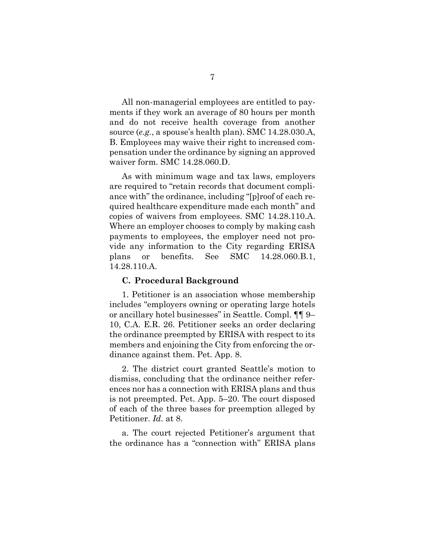All non-managerial employees are entitled to payments if they work an average of 80 hours per month and do not receive health coverage from another source (*e.g.*, a spouse's health plan). SMC 14.28.030.A, B. Employees may waive their right to increased compensation under the ordinance by signing an approved waiver form. SMC 14.28.060.D.

As with minimum wage and tax laws, employers are required to "retain records that document compliance with" the ordinance, including "[p]roof of each required healthcare expenditure made each month" and copies of waivers from employees. SMC 14.28.110.A. Where an employer chooses to comply by making cash payments to employees, the employer need not provide any information to the City regarding ERISA plans or benefits. See SMC 14.28.060.B.1, 14.28.110.A.

#### **C. Procedural Background**

1. Petitioner is an association whose membership includes "employers owning or operating large hotels or ancillary hotel businesses" in Seattle. Compl. ¶¶ 9– 10, C.A. E.R. 26. Petitioner seeks an order declaring the ordinance preempted by ERISA with respect to its members and enjoining the City from enforcing the ordinance against them. Pet. App. 8.

2. The district court granted Seattle's motion to dismiss, concluding that the ordinance neither references nor has a connection with ERISA plans and thus is not preempted. Pet. App. 5–20. The court disposed of each of the three bases for preemption alleged by Petitioner. *Id.* at 8.

a. The court rejected Petitioner's argument that the ordinance has a "connection with" ERISA plans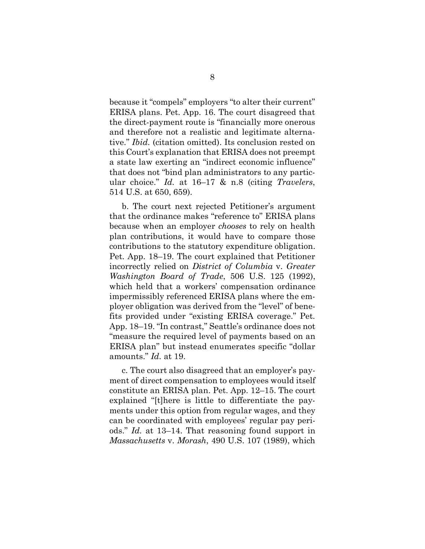because it "compels" employers "to alter their current" ERISA plans. Pet. App. 16. The court disagreed that the direct-payment route is "financially more onerous and therefore not a realistic and legitimate alternative." *Ibid.* (citation omitted). Its conclusion rested on this Court's explanation that ERISA does not preempt a state law exerting an "indirect economic influence" that does not "bind plan administrators to any particular choice." *Id.* at 16–17 & n.8 (citing *Travelers*, 514 U.S. at 650, 659).

b. The court next rejected Petitioner's argument that the ordinance makes "reference to" ERISA plans because when an employer *chooses* to rely on health plan contributions, it would have to compare those contributions to the statutory expenditure obligation. Pet. App. 18–19. The court explained that Petitioner incorrectly relied on *District of Columbia* v. *Greater Washington Board of Trade*, 506 U.S. 125 (1992), which held that a workers' compensation ordinance impermissibly referenced ERISA plans where the employer obligation was derived from the "level" of benefits provided under "existing ERISA coverage." Pet. App. 18–19. "In contrast," Seattle's ordinance does not "measure the required level of payments based on an ERISA plan" but instead enumerates specific "dollar amounts." *Id.* at 19.

c. The court also disagreed that an employer's payment of direct compensation to employees would itself constitute an ERISA plan. Pet. App. 12–15. The court explained "[t]here is little to differentiate the payments under this option from regular wages, and they can be coordinated with employees' regular pay periods." *Id.* at 13–14. That reasoning found support in *Massachusetts* v. *Morash*, 490 U.S. 107 (1989), which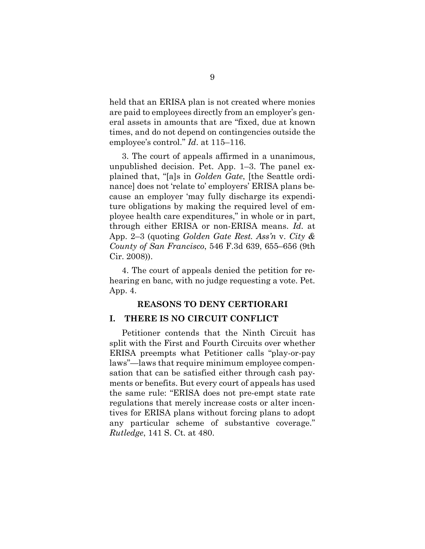held that an ERISA plan is not created where monies are paid to employees directly from an employer's general assets in amounts that are "fixed, due at known times, and do not depend on contingencies outside the employee's control." *Id*. at 115–116.

3. The court of appeals affirmed in a unanimous, unpublished decision. Pet. App. 1–3. The panel explained that, "[a]s in *Golden Gate*, [the Seattle ordinance] does not 'relate to' employers' ERISA plans because an employer 'may fully discharge its expenditure obligations by making the required level of employee health care expenditures," in whole or in part, through either ERISA or non-ERISA means. *Id.* at App. 2–3 (quoting *Golden Gate Rest. Ass'n* v. *City & County of San Francisco*, 546 F.3d 639, 655–656 (9th Cir. 2008)).

4. The court of appeals denied the petition for rehearing en banc, with no judge requesting a vote. Pet. App. 4.

#### **REASONS TO DENY CERTIORARI**

#### **I. THERE IS NO CIRCUIT CONFLICT**

Petitioner contends that the Ninth Circuit has split with the First and Fourth Circuits over whether ERISA preempts what Petitioner calls "play-or-pay laws"—laws that require minimum employee compensation that can be satisfied either through cash payments or benefits. But every court of appeals has used the same rule: "ERISA does not pre-empt state rate regulations that merely increase costs or alter incentives for ERISA plans without forcing plans to adopt any particular scheme of substantive coverage." *Rutledge*, 141 S. Ct. at 480.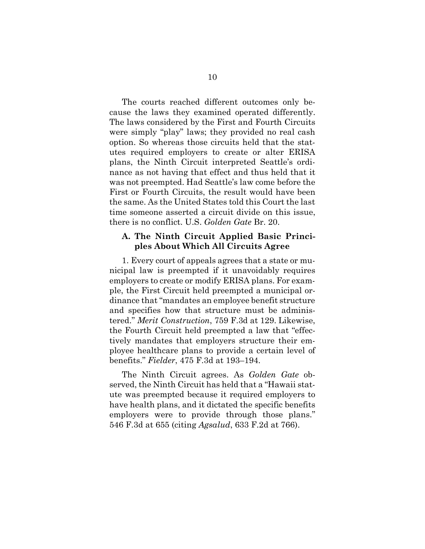The courts reached different outcomes only because the laws they examined operated differently. The laws considered by the First and Fourth Circuits were simply "play" laws; they provided no real cash option. So whereas those circuits held that the statutes required employers to create or alter ERISA plans, the Ninth Circuit interpreted Seattle's ordinance as not having that effect and thus held that it was not preempted. Had Seattle's law come before the First or Fourth Circuits, the result would have been the same. As the United States told this Court the last time someone asserted a circuit divide on this issue, there is no conflict. U.S. *Golden Gate* Br. 20.

#### **A. The Ninth Circuit Applied Basic Principles About Which All Circuits Agree**

1. Every court of appeals agrees that a state or municipal law is preempted if it unavoidably requires employers to create or modify ERISA plans. For example, the First Circuit held preempted a municipal ordinance that "mandates an employee benefit structure and specifies how that structure must be administered." *Merit Construction*, 759 F.3d at 129. Likewise, the Fourth Circuit held preempted a law that "effectively mandates that employers structure their employee healthcare plans to provide a certain level of benefits." *Fielder*, 475 F.3d at 193–194.

The Ninth Circuit agrees. As *Golden Gate* observed, the Ninth Circuit has held that a "Hawaii statute was preempted because it required employers to have health plans, and it dictated the specific benefits employers were to provide through those plans." 546 F.3d at 655 (citing *Agsalud*, 633 F.2d at 766).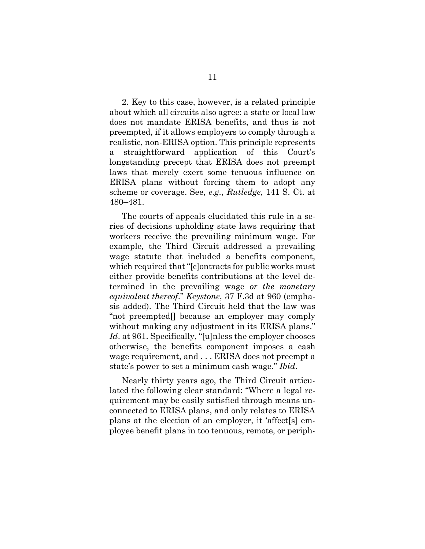2. Key to this case, however, is a related principle about which all circuits also agree: a state or local law does not mandate ERISA benefits, and thus is not preempted, if it allows employers to comply through a realistic, non-ERISA option. This principle represents a straightforward application of this Court's longstanding precept that ERISA does not preempt laws that merely exert some tenuous influence on ERISA plans without forcing them to adopt any scheme or coverage. See, *e.g.*, *Rutledge*, 141 S. Ct. at 480–481.

The courts of appeals elucidated this rule in a series of decisions upholding state laws requiring that workers receive the prevailing minimum wage. For example*,* the Third Circuit addressed a prevailing wage statute that included a benefits component, which required that "[c]ontracts for public works must either provide benefits contributions at the level determined in the prevailing wage *or the monetary equivalent thereof*." *Keystone*, 37 F.3d at 960 (emphasis added). The Third Circuit held that the law was "not preempted[] because an employer may comply without making any adjustment in its ERISA plans." *Id*. at 961. Specifically, "[u]nless the employer chooses otherwise, the benefits component imposes a cash wage requirement, and . . . ERISA does not preempt a state's power to set a minimum cash wage." *Ibid*.

Nearly thirty years ago, the Third Circuit articulated the following clear standard: "Where a legal requirement may be easily satisfied through means unconnected to ERISA plans, and only relates to ERISA plans at the election of an employer, it 'affect[s] employee benefit plans in too tenuous, remote, or periph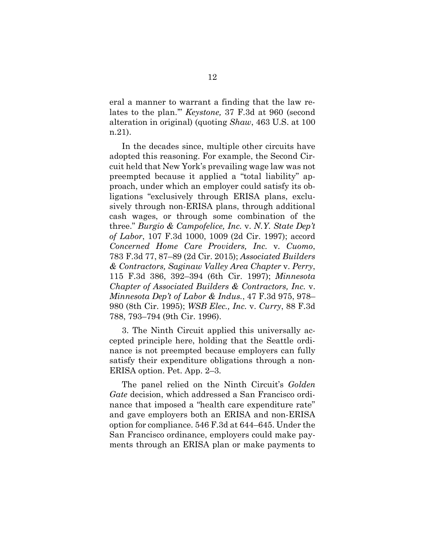eral a manner to warrant a finding that the law relates to the plan.'" *Keystone,* 37 F.3d at 960 (second alteration in original) (quoting *Shaw*, 463 U.S. at 100 n.21).

In the decades since, multiple other circuits have adopted this reasoning. For example, the Second Circuit held that New York's prevailing wage law was not preempted because it applied a "total liability" approach, under which an employer could satisfy its obligations "exclusively through ERISA plans, exclusively through non-ERISA plans, through additional cash wages, or through some combination of the three." *Burgio & Campofelice, Inc.* v. *N.Y. State Dep't of Labor*, 107 F.3d 1000, 1009 (2d Cir. 1997); accord *Concerned Home Care Providers, Inc.* v. *Cuomo*, 783 F.3d 77, 87–89 (2d Cir. 2015); *Associated Builders & Contractors, Saginaw Valley Area Chapter* v. *Perry*, 115 F.3d 386, 392–394 (6th Cir. 1997); *Minnesota Chapter of Associated Builders & Contractors, Inc.* v. *Minnesota Dep't of Labor & Indus.*, 47 F.3d 975, 978– 980 (8th Cir. 1995); *WSB Elec., Inc.* v. *Curry*, 88 F.3d 788, 793–794 (9th Cir. 1996).

3. The Ninth Circuit applied this universally accepted principle here, holding that the Seattle ordinance is not preempted because employers can fully satisfy their expenditure obligations through a non-ERISA option. Pet. App. 2–3.

The panel relied on the Ninth Circuit's *Golden Gate* decision, which addressed a San Francisco ordinance that imposed a "health care expenditure rate" and gave employers both an ERISA and non-ERISA option for compliance. 546 F.3d at 644–645. Under the San Francisco ordinance, employers could make payments through an ERISA plan or make payments to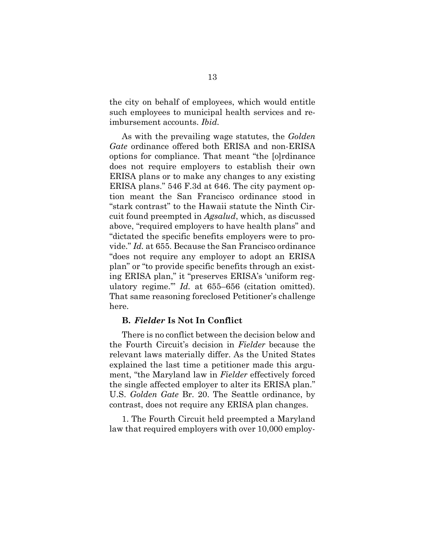the city on behalf of employees, which would entitle such employees to municipal health services and reimbursement accounts. *Ibid.* 

As with the prevailing wage statutes, the *Golden Gate* ordinance offered both ERISA and non-ERISA options for compliance. That meant "the [o]rdinance does not require employers to establish their own ERISA plans or to make any changes to any existing ERISA plans." 546 F.3d at 646. The city payment option meant the San Francisco ordinance stood in "stark contrast" to the Hawaii statute the Ninth Circuit found preempted in *Agsalud*, which, as discussed above, "required employers to have health plans" and "dictated the specific benefits employers were to provide." *Id.* at 655. Because the San Francisco ordinance "does not require any employer to adopt an ERISA plan" or "to provide specific benefits through an existing ERISA plan," it "preserves ERISA's 'uniform regulatory regime.'" *Id.* at 655–656 (citation omitted). That same reasoning foreclosed Petitioner's challenge here.

#### **B.** *Fielder* **Is Not In Conflict**

There is no conflict between the decision below and the Fourth Circuit's decision in *Fielder* because the relevant laws materially differ. As the United States explained the last time a petitioner made this argument, "the Maryland law in *Fielder* effectively forced the single affected employer to alter its ERISA plan." U.S. *Golden Gate* Br. 20. The Seattle ordinance, by contrast, does not require any ERISA plan changes.

1. The Fourth Circuit held preempted a Maryland law that required employers with over 10,000 employ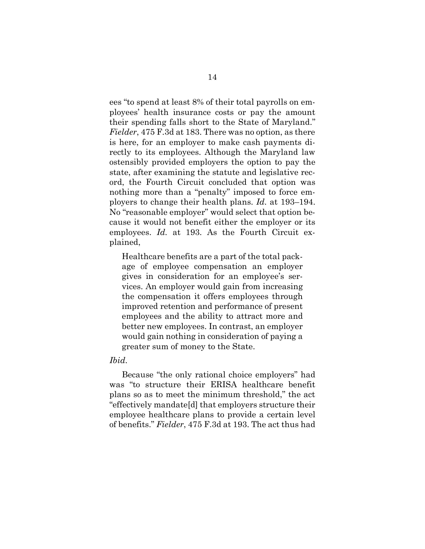ees "to spend at least 8% of their total payrolls on employees' health insurance costs or pay the amount their spending falls short to the State of Maryland." *Fielder*, 475 F.3d at 183. There was no option, as there is here, for an employer to make cash payments directly to its employees. Although the Maryland law ostensibly provided employers the option to pay the state, after examining the statute and legislative record, the Fourth Circuit concluded that option was nothing more than a "penalty" imposed to force employers to change their health plans. *Id.* at 193–194. No "reasonable employer" would select that option because it would not benefit either the employer or its employees. *Id.* at 193. As the Fourth Circuit explained,

Healthcare benefits are a part of the total package of employee compensation an employer gives in consideration for an employee's services. An employer would gain from increasing the compensation it offers employees through improved retention and performance of present employees and the ability to attract more and better new employees. In contrast, an employer would gain nothing in consideration of paying a greater sum of money to the State.

#### *Ibid.*

Because "the only rational choice employers" had was "to structure their ERISA healthcare benefit plans so as to meet the minimum threshold," the act "effectively mandate[d] that employers structure their employee healthcare plans to provide a certain level of benefits." *Fielder*, 475 F.3d at 193. The act thus had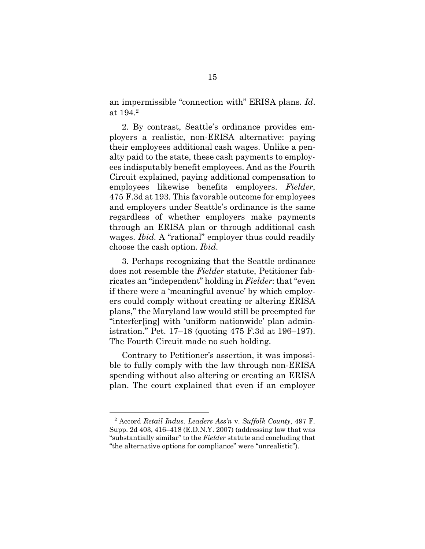an impermissible "connection with" ERISA plans. *Id*. at 194.<sup>2</sup>

2. By contrast, Seattle's ordinance provides employers a realistic, non-ERISA alternative: paying their employees additional cash wages. Unlike a penalty paid to the state, these cash payments to employees indisputably benefit employees. And as the Fourth Circuit explained, paying additional compensation to employees likewise benefits employers. *Fielder*, 475 F.3d at 193. This favorable outcome for employees and employers under Seattle's ordinance is the same regardless of whether employers make payments through an ERISA plan or through additional cash wages. *Ibid.* A "rational" employer thus could readily choose the cash option. *Ibid.* 

3. Perhaps recognizing that the Seattle ordinance does not resemble the *Fielder* statute, Petitioner fabricates an "independent" holding in *Fielder*: that "even if there were a 'meaningful avenue' by which employers could comply without creating or altering ERISA plans," the Maryland law would still be preempted for "interfer[ing] with 'uniform nationwide' plan administration." Pet. 17–18 (quoting 475 F.3d at 196–197). The Fourth Circuit made no such holding.

Contrary to Petitioner's assertion, it was impossible to fully comply with the law through non-ERISA spending without also altering or creating an ERISA plan. The court explained that even if an employer

<sup>2</sup> Accord *Retail Indus. Leaders Ass'n* v. *Suffolk County*, 497 F. Supp. 2d 403, 416–418 (E.D.N.Y. 2007) (addressing law that was "substantially similar" to the *Fielder* statute and concluding that "the alternative options for compliance" were "unrealistic").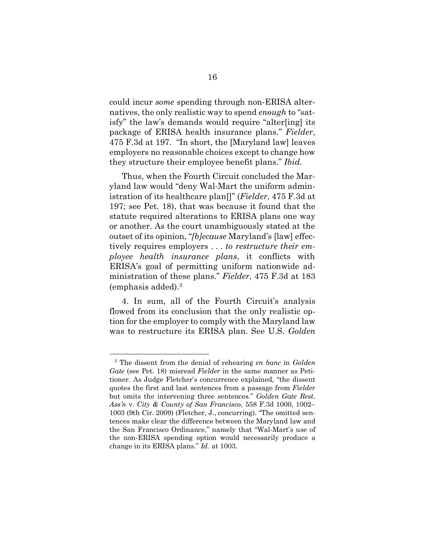could incur *some* spending through non-ERISA alternatives, the only realistic way to spend *enough* to "satisfy" the law's demands would require "alter[ing] its package of ERISA health insurance plans." *Fielder*, 475 F.3d at 197. "In short, the [Maryland law] leaves employers no reasonable choices except to change how they structure their employee benefit plans." *Ibid.*

Thus, when the Fourth Circuit concluded the Maryland law would "deny Wal-Mart the uniform administration of its healthcare plan[]" (*Fielder*, 475 F.3d at 197; see Pet. 18), that was because it found that the statute required alterations to ERISA plans one way or another. As the court unambiguously stated at the outset of its opinion, "*[b]ecause* Maryland's [law] effectively requires employers . . . *to restructure their employee health insurance plans*, it conflicts with ERISA's goal of permitting uniform nationwide administration of these plans." *Fielder*, 475 F.3d at 183  $(emphasis added).<sup>3</sup>$ 

4. In sum, all of the Fourth Circuit's analysis flowed from its conclusion that the only realistic option for the employer to comply with the Maryland law was to restructure its ERISA plan. See U.S. *Golden* 

<sup>3</sup> The dissent from the denial of rehearing *en banc* in *Golden Gate* (see Pet. 18) misread *Fielder* in the same manner as Petitioner. As Judge Fletcher's concurrence explained, "the dissent quotes the first and last sentences from a passage from *Fielder* but omits the intervening three sentences." *Golden Gate Rest. Ass'n* v. *City & County of San Francisco*, 558 F.3d 1000, 1002– 1003 (9th Cir. 2009) (Fletcher, J., concurring). "The omitted sentences make clear the difference between the Maryland law and the San Francisco Ordinance," namely that "Wal-Mart's use of the non-ERISA spending option would necessarily produce a change in its ERISA plans." *Id.* at 1003.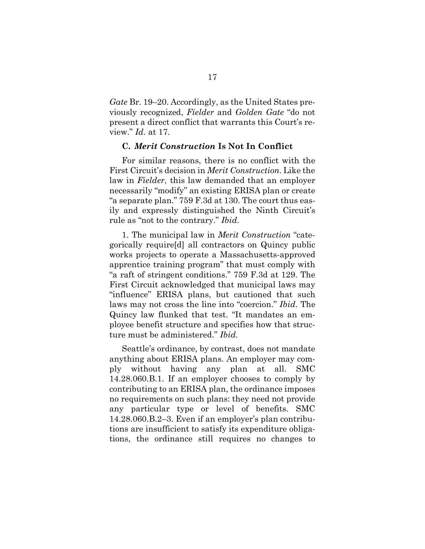*Gate* Br. 19–20. Accordingly, as the United States previously recognized, *Fielder* and *Golden Gate* "do not present a direct conflict that warrants this Court's review." *Id.* at 17.

#### **C.** *Merit Construction* **Is Not In Conflict**

For similar reasons, there is no conflict with the First Circuit's decision in *Merit Construction*. Like the law in *Fielder*, this law demanded that an employer necessarily "modify" an existing ERISA plan or create "a separate plan." 759 F.3d at 130. The court thus easily and expressly distinguished the Ninth Circuit's rule as "not to the contrary." *Ibid.*

1. The municipal law in *Merit Construction* "categorically require[d] all contractors on Quincy public works projects to operate a Massachusetts-approved apprentice training program" that must comply with "a raft of stringent conditions." 759 F.3d at 129. The First Circuit acknowledged that municipal laws may "influence" ERISA plans, but cautioned that such laws may not cross the line into "coercion." *Ibid*. The Quincy law flunked that test. "It mandates an employee benefit structure and specifies how that structure must be administered." *Ibid.*

Seattle's ordinance, by contrast, does not mandate anything about ERISA plans. An employer may comply without having any plan at all. SMC 14.28.060.B.1. If an employer chooses to comply by contributing to an ERISA plan, the ordinance imposes no requirements on such plans: they need not provide any particular type or level of benefits. SMC 14.28.060.B.2–3. Even if an employer's plan contributions are insufficient to satisfy its expenditure obligations, the ordinance still requires no changes to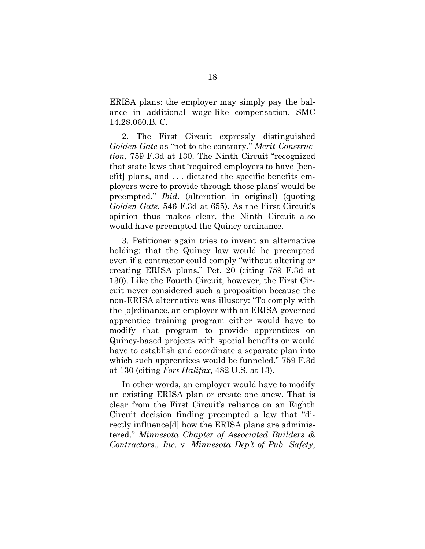ERISA plans: the employer may simply pay the balance in additional wage-like compensation. SMC 14.28.060.B, C.

2. The First Circuit expressly distinguished *Golden Gate* as "not to the contrary." *Merit Construction*, 759 F.3d at 130. The Ninth Circuit "recognized that state laws that 'required employers to have [benefit] plans, and . . . dictated the specific benefits employers were to provide through those plans' would be preempted." *Ibid*. (alteration in original) (quoting *Golden Gate*, 546 F.3d at 655). As the First Circuit's opinion thus makes clear, the Ninth Circuit also would have preempted the Quincy ordinance.

3. Petitioner again tries to invent an alternative holding: that the Quincy law would be preempted even if a contractor could comply "without altering or creating ERISA plans." Pet. 20 (citing 759 F.3d at 130). Like the Fourth Circuit, however, the First Circuit never considered such a proposition because the non-ERISA alternative was illusory: "To comply with the [o]rdinance, an employer with an ERISA-governed apprentice training program either would have to modify that program to provide apprentices on Quincy-based projects with special benefits or would have to establish and coordinate a separate plan into which such apprentices would be funneled." 759 F.3d at 130 (citing *Fort Halifax*, 482 U.S. at 13).

In other words, an employer would have to modify an existing ERISA plan or create one anew. That is clear from the First Circuit's reliance on an Eighth Circuit decision finding preempted a law that "directly influence[d] how the ERISA plans are administered." *Minnesota Chapter of Associated Builders & Contractors., Inc.* v. *Minnesota Dep't of Pub. Safety*,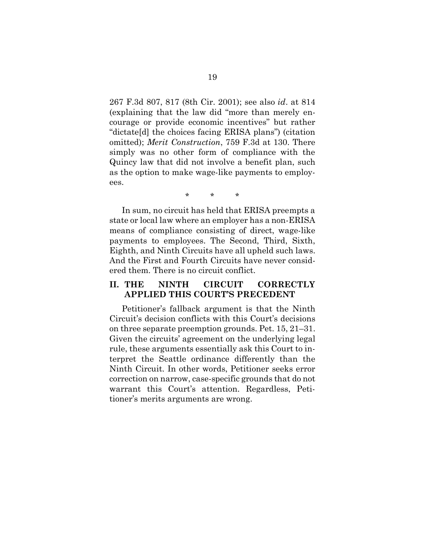267 F.3d 807, 817 (8th Cir. 2001); see also *id*. at 814 (explaining that the law did "more than merely encourage or provide economic incentives" but rather "dictate[d] the choices facing ERISA plans") (citation omitted); *Merit Construction*, 759 F.3d at 130. There simply was no other form of compliance with the Quincy law that did not involve a benefit plan, such as the option to make wage-like payments to employees.

\* \* \*

In sum, no circuit has held that ERISA preempts a state or local law where an employer has a non-ERISA means of compliance consisting of direct, wage-like payments to employees. The Second, Third, Sixth, Eighth, and Ninth Circuits have all upheld such laws. And the First and Fourth Circuits have never considered them. There is no circuit conflict.

### **II. THE NINTH CIRCUIT CORRECTLY APPLIED THIS COURT'S PRECEDENT**

Petitioner's fallback argument is that the Ninth Circuit's decision conflicts with this Court's decisions on three separate preemption grounds. Pet. 15, 21–31. Given the circuits' agreement on the underlying legal rule, these arguments essentially ask this Court to interpret the Seattle ordinance differently than the Ninth Circuit. In other words, Petitioner seeks error correction on narrow, case-specific grounds that do not warrant this Court's attention. Regardless, Petitioner's merits arguments are wrong.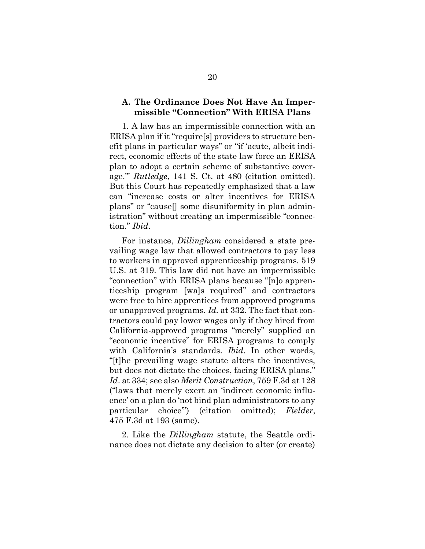#### **A. The Ordinance Does Not Have An Impermissible "Connection" With ERISA Plans**

1. A law has an impermissible connection with an ERISA plan if it "require[s] providers to structure benefit plans in particular ways" or "if 'acute, albeit indirect, economic effects of the state law force an ERISA plan to adopt a certain scheme of substantive coverage.'" *Rutledge*, 141 S. Ct. at 480 (citation omitted). But this Court has repeatedly emphasized that a law can "increase costs or alter incentives for ERISA plans" or "cause[] some disuniformity in plan administration" without creating an impermissible "connection." *Ibid*.

For instance, *Dillingham* considered a state prevailing wage law that allowed contractors to pay less to workers in approved apprenticeship programs. 519 U.S. at 319. This law did not have an impermissible "connection" with ERISA plans because "[n]o apprenticeship program [wa]s required" and contractors were free to hire apprentices from approved programs or unapproved programs. *Id.* at 332. The fact that contractors could pay lower wages only if they hired from California-approved programs "merely" supplied an "economic incentive" for ERISA programs to comply with California's standards. *Ibid.* In other words, "[t]he prevailing wage statute alters the incentives, but does not dictate the choices, facing ERISA plans." *Id*. at 334; see also *Merit Construction*, 759 F.3d at 128 ("laws that merely exert an 'indirect economic influence' on a plan do 'not bind plan administrators to any particular choice'") (citation omitted); *Fielder*, 475 F.3d at 193 (same).

2. Like the *Dillingham* statute, the Seattle ordinance does not dictate any decision to alter (or create)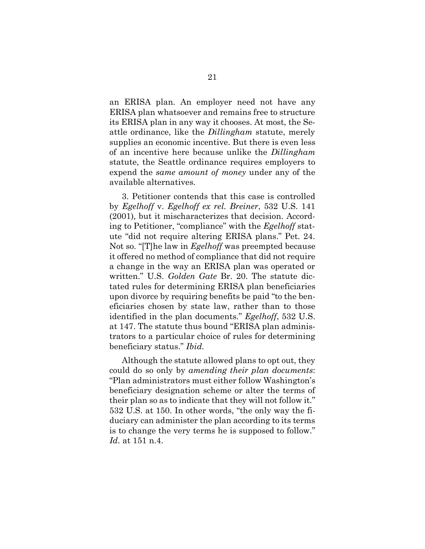an ERISA plan. An employer need not have any ERISA plan whatsoever and remains free to structure its ERISA plan in any way it chooses. At most, the Seattle ordinance, like the *Dillingham* statute, merely supplies an economic incentive. But there is even less of an incentive here because unlike the *Dillingham*  statute, the Seattle ordinance requires employers to expend the *same amount of money* under any of the available alternatives.

3. Petitioner contends that this case is controlled by *Egelhoff* v. *Egelhoff ex rel. Breiner*, 532 U.S. 141 (2001), but it mischaracterizes that decision. According to Petitioner, "compliance" with the *Egelhoff* statute "did not require altering ERISA plans." Pet. 24. Not so. "[T]he law in *Egelhoff* was preempted because it offered no method of compliance that did not require a change in the way an ERISA plan was operated or written." U.S. *Golden Gate* Br. 20. The statute dictated rules for determining ERISA plan beneficiaries upon divorce by requiring benefits be paid "to the beneficiaries chosen by state law, rather than to those identified in the plan documents." *Egelhoff*, 532 U.S. at 147. The statute thus bound "ERISA plan administrators to a particular choice of rules for determining beneficiary status." *Ibid.*

Although the statute allowed plans to opt out, they could do so only by *amending their plan documents*: "Plan administrators must either follow Washington's beneficiary designation scheme or alter the terms of their plan so as to indicate that they will not follow it." 532 U.S. at 150. In other words, "the only way the fiduciary can administer the plan according to its terms is to change the very terms he is supposed to follow." *Id.* at 151 n.4.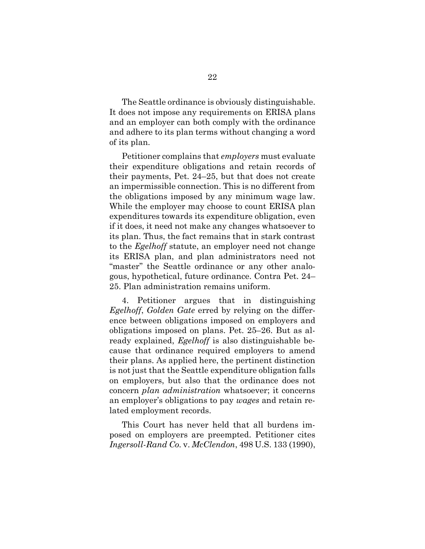The Seattle ordinance is obviously distinguishable. It does not impose any requirements on ERISA plans and an employer can both comply with the ordinance and adhere to its plan terms without changing a word of its plan.

Petitioner complains that *employers* must evaluate their expenditure obligations and retain records of their payments, Pet. 24–25, but that does not create an impermissible connection. This is no different from the obligations imposed by any minimum wage law. While the employer may choose to count ERISA plan expenditures towards its expenditure obligation, even if it does, it need not make any changes whatsoever to its plan. Thus, the fact remains that in stark contrast to the *Egelhoff* statute, an employer need not change its ERISA plan, and plan administrators need not "master" the Seattle ordinance or any other analogous, hypothetical, future ordinance. Contra Pet. 24– 25. Plan administration remains uniform.

4. Petitioner argues that in distinguishing *Egelhoff*, *Golden Gate* erred by relying on the difference between obligations imposed on employers and obligations imposed on plans. Pet. 25–26. But as already explained, *Egelhoff* is also distinguishable because that ordinance required employers to amend their plans. As applied here, the pertinent distinction is not just that the Seattle expenditure obligation falls on employers, but also that the ordinance does not concern *plan administration* whatsoever; it concerns an employer's obligations to pay *wages* and retain related employment records.

This Court has never held that all burdens imposed on employers are preempted. Petitioner cites *Ingersoll-Rand Co.* v. *McClendon*, 498 U.S. 133 (1990),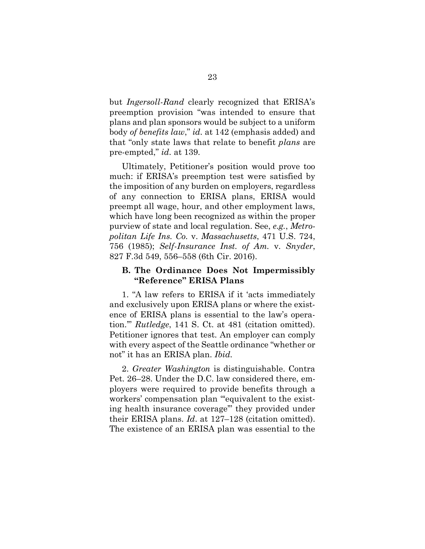but *Ingersoll-Rand* clearly recognized that ERISA's preemption provision "was intended to ensure that plans and plan sponsors would be subject to a uniform body *of benefits law*," *id.* at 142 (emphasis added) and that "only state laws that relate to benefit *plans* are pre-empted," *id.* at 139.

Ultimately, Petitioner's position would prove too much: if ERISA's preemption test were satisfied by the imposition of any burden on employers, regardless of any connection to ERISA plans, ERISA would preempt all wage, hour, and other employment laws, which have long been recognized as within the proper purview of state and local regulation. See, *e.g.*, *Metropolitan Life Ins. Co.* v. *Massachusetts*, 471 U.S. 724, 756 (1985); *Self-Insurance Inst. of Am.* v. *Snyder*, 827 F.3d 549, 556–558 (6th Cir. 2016).

#### **B. The Ordinance Does Not Impermissibly "Reference" ERISA Plans**

1. "A law refers to ERISA if it 'acts immediately and exclusively upon ERISA plans or where the existence of ERISA plans is essential to the law's operation.'" *Rutledge*, 141 S. Ct. at 481 (citation omitted). Petitioner ignores that test. An employer can comply with every aspect of the Seattle ordinance "whether or not" it has an ERISA plan. *Ibid.* 

2. *Greater Washington* is distinguishable. Contra Pet. 26–28. Under the D.C. law considered there, employers were required to provide benefits through a workers' compensation plan "'equivalent to the existing health insurance coverage'" they provided under their ERISA plans. *Id*. at 127–128 (citation omitted). The existence of an ERISA plan was essential to the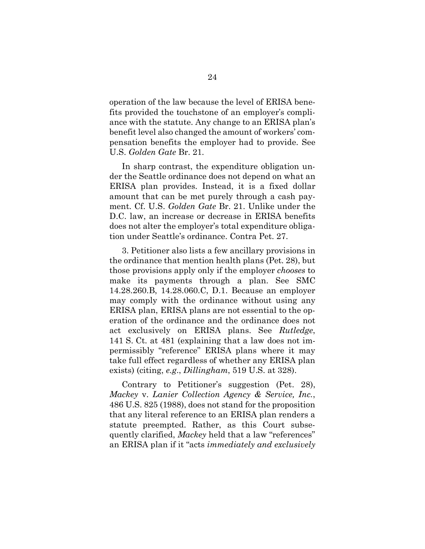operation of the law because the level of ERISA benefits provided the touchstone of an employer's compliance with the statute. Any change to an ERISA plan's benefit level also changed the amount of workers' compensation benefits the employer had to provide. See U.S. *Golden Gate* Br. 21.

In sharp contrast, the expenditure obligation under the Seattle ordinance does not depend on what an ERISA plan provides. Instead, it is a fixed dollar amount that can be met purely through a cash payment. Cf. U.S. *Golden Gate* Br. 21. Unlike under the D.C. law, an increase or decrease in ERISA benefits does not alter the employer's total expenditure obligation under Seattle's ordinance. Contra Pet. 27.

3. Petitioner also lists a few ancillary provisions in the ordinance that mention health plans (Pet. 28), but those provisions apply only if the employer *chooses* to make its payments through a plan. See SMC 14.28.260.B, 14.28.060.C, D.1. Because an employer may comply with the ordinance without using any ERISA plan, ERISA plans are not essential to the operation of the ordinance and the ordinance does not act exclusively on ERISA plans. See *Rutledge*, 141 S. Ct. at 481 (explaining that a law does not impermissibly "reference" ERISA plans where it may take full effect regardless of whether any ERISA plan exists) (citing, *e.g*., *Dillingham*, 519 U.S. at 328).

Contrary to Petitioner's suggestion (Pet. 28), *Mackey* v. *Lanier Collection Agency & Service, Inc.*, 486 U.S. 825 (1988), does not stand for the proposition that any literal reference to an ERISA plan renders a statute preempted. Rather, as this Court subsequently clarified, *Mackey* held that a law "references" an ERISA plan if it "acts *immediately and exclusively*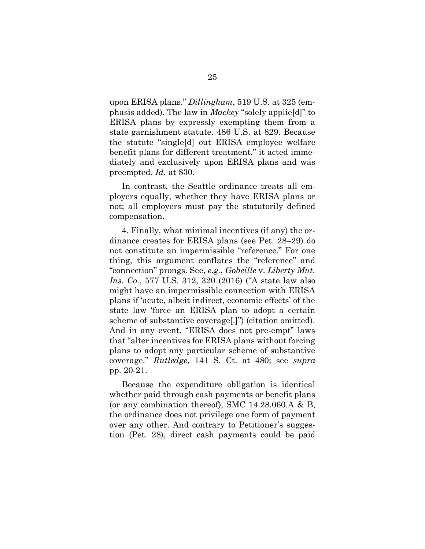upon ERISA plans." *Dillingham*, 519 U.S. at 325 (emphasis added). The law in *Mackey* "solely applie[d]" to ERISA plans by expressly exempting them from a state garnishment statute. 486 U.S. at 829. Because the statute "single[d] out ERISA employee welfare benefit plans for different treatment," it acted immediately and exclusively upon ERISA plans and was preempted. *Id.* at 830.

In contrast, the Seattle ordinance treats all employers equally, whether they have ERISA plans or not; all employers must pay the statutorily defined compensation.

4. Finally, what minimal incentives (if any) the ordinance creates for ERISA plans (see Pet. 28–29) do not constitute an impermissible "reference." For one thing, this argument conflates the "reference" and "connection" prongs. See, *e.g.*, *Gobeille* v. *Liberty Mut. Ins. Co.*, 577 U.S. 312, 320 (2016) ("A state law also might have an impermissible connection with ERISA plans if 'acute, albeit indirect, economic effects' of the state law 'force an ERISA plan to adopt a certain scheme of substantive coverage[.]") (citation omitted). And in any event, "ERISA does not pre-empt" laws that "alter incentives for ERISA plans without forcing plans to adopt any particular scheme of substantive coverage." *Rutledge*, 141 S. Ct. at 480; see *supra* pp. 20-21.

Because the expenditure obligation is identical whether paid through cash payments or benefit plans (or any combination thereof), SMC 14.28.060.A & B, the ordinance does not privilege one form of payment over any other. And contrary to Petitioner's suggestion (Pet. 28), direct cash payments could be paid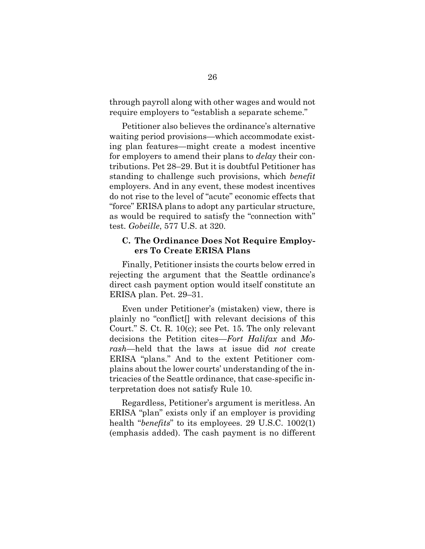through payroll along with other wages and would not require employers to "establish a separate scheme."

Petitioner also believes the ordinance's alternative waiting period provisions—which accommodate existing plan features—might create a modest incentive for employers to amend their plans to *delay* their contributions. Pet 28–29. But it is doubtful Petitioner has standing to challenge such provisions, which *benefit*  employers. And in any event, these modest incentives do not rise to the level of "acute" economic effects that "force" ERISA plans to adopt any particular structure, as would be required to satisfy the "connection with" test. *Gobeille*, 577 U.S. at 320.

#### **C. The Ordinance Does Not Require Employers To Create ERISA Plans**

Finally, Petitioner insists the courts below erred in rejecting the argument that the Seattle ordinance's direct cash payment option would itself constitute an ERISA plan. Pet. 29–31.

Even under Petitioner's (mistaken) view, there is plainly no "conflict[] with relevant decisions of this Court." S. Ct. R. 10(c); see Pet. 15. The only relevant decisions the Petition cites—*Fort Halifax* and *Morash*—held that the laws at issue did *not* create ERISA "plans." And to the extent Petitioner complains about the lower courts' understanding of the intricacies of the Seattle ordinance, that case-specific interpretation does not satisfy Rule 10.

Regardless, Petitioner's argument is meritless. An ERISA "plan" exists only if an employer is providing health "*benefits*" to its employees. 29 U.S.C. 1002(1) (emphasis added). The cash payment is no different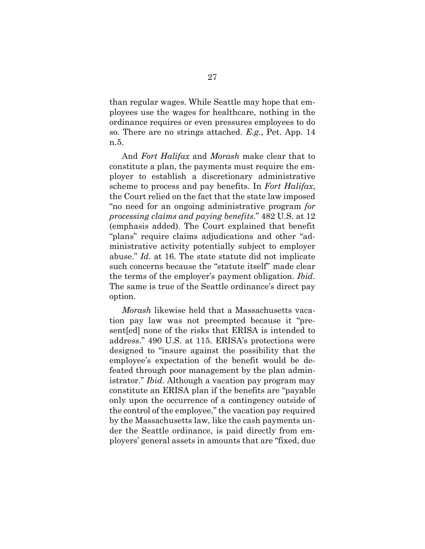than regular wages. While Seattle may hope that employees use the wages for healthcare, nothing in the ordinance requires or even pressures employees to do so. There are no strings attached. *E.g.*, Pet. App. 14 n.5.

And *Fort Halifax* and *Morash* make clear that to constitute a plan, the payments must require the employer to establish a discretionary administrative scheme to process and pay benefits. In *Fort Halifax*, the Court relied on the fact that the state law imposed "no need for an ongoing administrative program *for processing claims and paying benefits*." 482 U.S. at 12 (emphasis added). The Court explained that benefit "plans" require claims adjudications and other "administrative activity potentially subject to employer abuse." *Id.* at 16. The state statute did not implicate such concerns because the "statute itself" made clear the terms of the employer's payment obligation. *Ibid*. The same is true of the Seattle ordinance's direct pay option.

*Morash* likewise held that a Massachusetts vacation pay law was not preempted because it "present[ed] none of the risks that ERISA is intended to address." 490 U.S. at 115. ERISA's protections were designed to "insure against the possibility that the employee's expectation of the benefit would be defeated through poor management by the plan administrator." *Ibid.* Although a vacation pay program may constitute an ERISA plan if the benefits are "payable only upon the occurrence of a contingency outside of the control of the employee," the vacation pay required by the Massachusetts law, like the cash payments under the Seattle ordinance, is paid directly from employers' general assets in amounts that are "fixed, due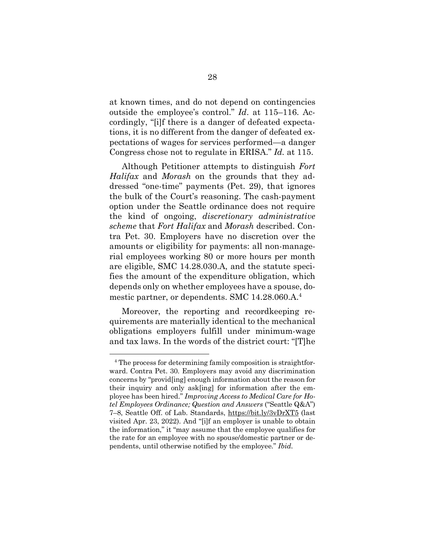at known times, and do not depend on contingencies outside the employee's control." *Id*. at 115–116. Accordingly, "[i]f there is a danger of defeated expectations, it is no different from the danger of defeated expectations of wages for services performed—a danger Congress chose not to regulate in ERISA." *Id.* at 115.

Although Petitioner attempts to distinguish *Fort Halifax* and *Morash* on the grounds that they addressed "one-time" payments (Pet. 29), that ignores the bulk of the Court's reasoning. The cash-payment option under the Seattle ordinance does not require the kind of ongoing, *discretionary administrative scheme* that *Fort Halifax* and *Morash* described. Contra Pet. 30. Employers have no discretion over the amounts or eligibility for payments: all non-managerial employees working 80 or more hours per month are eligible, SMC 14.28.030.A, and the statute specifies the amount of the expenditure obligation, which depends only on whether employees have a spouse, domestic partner, or dependents. SMC 14.28.060.A.<sup>4</sup>

Moreover, the reporting and recordkeeping requirements are materially identical to the mechanical obligations employers fulfill under minimum-wage and tax laws. In the words of the district court: "[T]he

<sup>&</sup>lt;sup>4</sup> The process for determining family composition is straightforward. Contra Pet. 30. Employers may avoid any discrimination concerns by "provid[ing] enough information about the reason for their inquiry and only ask[ing] for information after the employee has been hired." *Improving Access to Medical Care for Hotel Employees Ordinance; Question and Answers* ("Seattle Q&A") 7–8, Seattle Off. of Lab. Standards, https://bit.ly/3vDrXT5 (last visited Apr. 23, 2022). And "[i]f an employer is unable to obtain the information," it "may assume that the employee qualifies for the rate for an employee with no spouse/domestic partner or dependents, until otherwise notified by the employee." *Ibid.*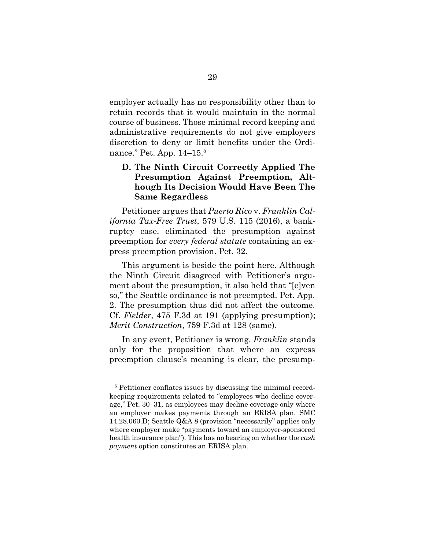employer actually has no responsibility other than to retain records that it would maintain in the normal course of business. Those minimal record keeping and administrative requirements do not give employers discretion to deny or limit benefits under the Ordinance." Pet. App. 14–15.<sup>5</sup>

### **D. The Ninth Circuit Correctly Applied The Presumption Against Preemption, Although Its Decision Would Have Been The Same Regardless**

Petitioner argues that *Puerto Rico* v. *Franklin California Tax-Free Trust*, 579 U.S. 115 (2016), a bankruptcy case, eliminated the presumption against preemption for *every federal statute* containing an express preemption provision. Pet. 32.

This argument is beside the point here. Although the Ninth Circuit disagreed with Petitioner's argument about the presumption, it also held that "[e]ven so," the Seattle ordinance is not preempted. Pet. App. 2. The presumption thus did not affect the outcome. Cf. *Fielder*, 475 F.3d at 191 (applying presumption); *Merit Construction*, 759 F.3d at 128 (same).

In any event, Petitioner is wrong. *Franklin* stands only for the proposition that where an express preemption clause's meaning is clear, the presump-

<sup>&</sup>lt;sup>5</sup> Petitioner conflates issues by discussing the minimal recordkeeping requirements related to "employees who decline coverage," Pet. 30–31, as employees may decline coverage only where an employer makes payments through an ERISA plan. SMC 14.28.060.D; Seattle Q&A 8 (provision "necessarily" applies only where employer make "payments toward an employer-sponsored health insurance plan"). This has no bearing on whether the *cash payment* option constitutes an ERISA plan.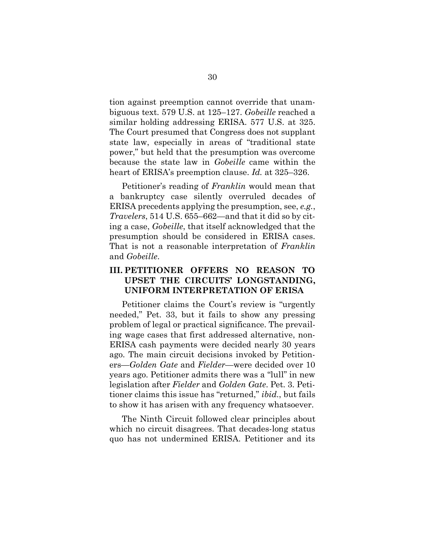tion against preemption cannot override that unambiguous text. 579 U.S. at 125–127. *Gobeille* reached a similar holding addressing ERISA. 577 U.S. at 325. The Court presumed that Congress does not supplant state law, especially in areas of "traditional state power," but held that the presumption was overcome because the state law in *Gobeille* came within the heart of ERISA's preemption clause. *Id.* at 325–326.

Petitioner's reading of *Franklin* would mean that a bankruptcy case silently overruled decades of ERISA precedents applying the presumption, see, *e.g.*, *Travelers*, 514 U.S. 655–662—and that it did so by citing a case, *Gobeille*, that itself acknowledged that the presumption should be considered in ERISA cases. That is not a reasonable interpretation of *Franklin* and *Gobeille*.

### **III. PETITIONER OFFERS NO REASON TO UPSET THE CIRCUITS' LONGSTANDING, UNIFORM INTERPRETATION OF ERISA**

Petitioner claims the Court's review is "urgently needed," Pet. 33, but it fails to show any pressing problem of legal or practical significance. The prevailing wage cases that first addressed alternative, non-ERISA cash payments were decided nearly 30 years ago. The main circuit decisions invoked by Petitioners—*Golden Gate* and *Fielder*—were decided over 10 years ago. Petitioner admits there was a "lull" in new legislation after *Fielder* and *Golden Gate*. Pet. 3. Petitioner claims this issue has "returned," *ibid.*, but fails to show it has arisen with any frequency whatsoever.

The Ninth Circuit followed clear principles about which no circuit disagrees. That decades-long status quo has not undermined ERISA. Petitioner and its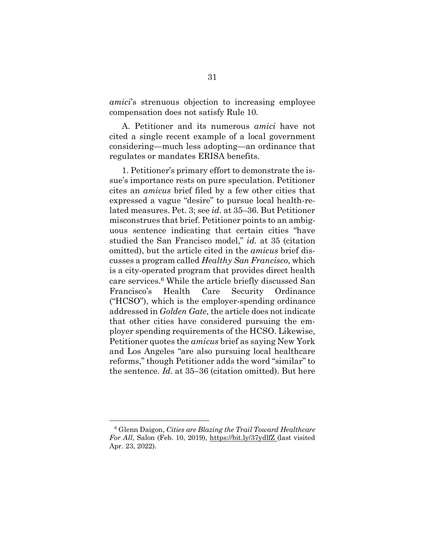*amici*'s strenuous objection to increasing employee compensation does not satisfy Rule 10.

A. Petitioner and its numerous *amici* have not cited a single recent example of a local government considering—much less adopting—an ordinance that regulates or mandates ERISA benefits.

1. Petitioner's primary effort to demonstrate the issue's importance rests on pure speculation. Petitioner cites an *amicus* brief filed by a few other cities that expressed a vague "desire" to pursue local health-related measures. Pet. 3; see *id.* at 35–36. But Petitioner misconstrues that brief. Petitioner points to an ambiguous sentence indicating that certain cities "have studied the San Francisco model," *id.* at 35 (citation omitted), but the article cited in the *amicus* brief discusses a program called *Healthy San Francisco*, which is a city-operated program that provides direct health care services.<sup>6</sup> While the article briefly discussed San Francisco's Health Care Security Ordinance ("HCSO"), which is the employer-spending ordinance addressed in *Golden Gate*, the article does not indicate that other cities have considered pursuing the employer spending requirements of the HCSO. Likewise, Petitioner quotes the *amicus* brief as saying New York and Los Angeles "are also pursuing local healthcare reforms," though Petitioner adds the word "similar" to the sentence. *Id.* at 35–36 (citation omitted). But here

<sup>6</sup> Glenn Daigon, *Cities are Blazing the Trail Toward Healthcare For All*, Salon (Feb. 10, 2019), https://bit.ly/37ydlfZ (last visited Apr. 23, 2022).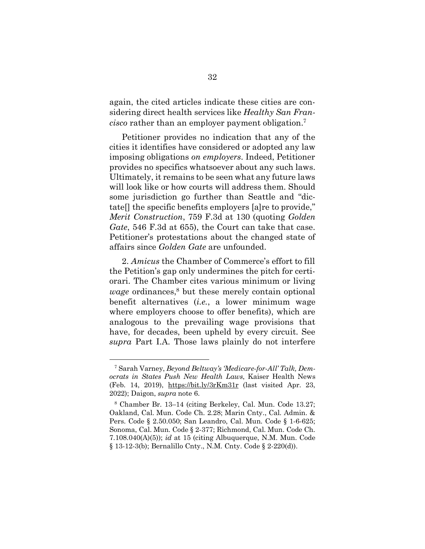again, the cited articles indicate these cities are considering direct health services like *Healthy San Francisco* rather than an employer payment obligation.<sup>7</sup>

Petitioner provides no indication that any of the cities it identifies have considered or adopted any law imposing obligations *on employers*. Indeed, Petitioner provides no specifics whatsoever about any such laws. Ultimately, it remains to be seen what any future laws will look like or how courts will address them. Should some jurisdiction go further than Seattle and "dictate[] the specific benefits employers [a]re to provide," *Merit Construction*, 759 F.3d at 130 (quoting *Golden Gate*, 546 F.3d at 655), the Court can take that case. Petitioner's protestations about the changed state of affairs since *Golden Gate* are unfounded.

2. *Amicus* the Chamber of Commerce's effort to fill the Petition's gap only undermines the pitch for certiorari. The Chamber cites various minimum or living wage ordinances,<sup>8</sup> but these merely contain optional benefit alternatives (*i.e.*, a lower minimum wage where employers choose to offer benefits), which are analogous to the prevailing wage provisions that have, for decades, been upheld by every circuit. See *supra* Part I.A. Those laws plainly do not interfere

<sup>7</sup> Sarah Varney, *Beyond Beltway's 'Medicare-for-All' Talk, Democrats in States Push New Health Laws*, Kaiser Health News (Feb. 14, 2019), https://bit.ly/3rKm31r (last visited Apr. 23, 2022); Daigon, *supra* note 6.

<sup>8</sup> Chamber Br. 13–14 (citing Berkeley, Cal. Mun. Code 13.27; Oakland, Cal. Mun. Code Ch. 2.28; Marin Cnty., Cal. Admin. & Pers. Code § 2.50.050; San Leandro, Cal. Mun. Code § 1-6-625; Sonoma, Cal. Mun. Code § 2-377; Richmond, Cal. Mun. Code Ch. 7.108.040(A)(5)); *id* at 15 (citing Albuquerque, N.M. Mun. Code § 13-12-3(b); Bernalillo Cnty., N.M. Cnty. Code § 2-220(d)).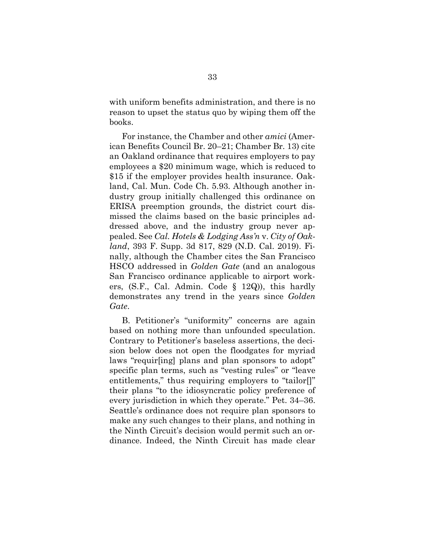with uniform benefits administration, and there is no reason to upset the status quo by wiping them off the books.

For instance, the Chamber and other *amici* (American Benefits Council Br. 20–21; Chamber Br. 13) cite an Oakland ordinance that requires employers to pay employees a \$20 minimum wage, which is reduced to \$15 if the employer provides health insurance. Oakland, Cal. Mun. Code Ch. 5.93. Although another industry group initially challenged this ordinance on ERISA preemption grounds, the district court dismissed the claims based on the basic principles addressed above, and the industry group never appealed. See *Cal. Hotels & Lodging Ass'n* v. *City of Oakland*, 393 F. Supp. 3d 817, 829 (N.D. Cal. 2019). Finally, although the Chamber cites the San Francisco HSCO addressed in *Golden Gate* (and an analogous San Francisco ordinance applicable to airport workers, (S.F., Cal. Admin. Code § 12Q)), this hardly demonstrates any trend in the years since *Golden Gate*.

B. Petitioner's "uniformity" concerns are again based on nothing more than unfounded speculation. Contrary to Petitioner's baseless assertions, the decision below does not open the floodgates for myriad laws "requir[ing] plans and plan sponsors to adopt" specific plan terms, such as "vesting rules" or "leave entitlements," thus requiring employers to "tailor<sup>[]"</sup> their plans "to the idiosyncratic policy preference of every jurisdiction in which they operate." Pet. 34–36. Seattle's ordinance does not require plan sponsors to make any such changes to their plans, and nothing in the Ninth Circuit's decision would permit such an ordinance. Indeed, the Ninth Circuit has made clear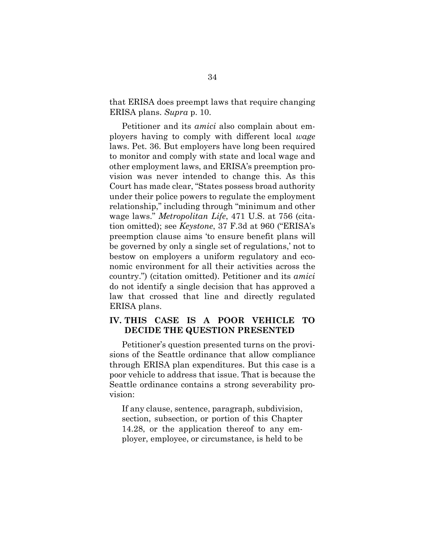that ERISA does preempt laws that require changing ERISA plans. *Supra* p. 10.

Petitioner and its *amici* also complain about employers having to comply with different local *wage* laws. Pet. 36. But employers have long been required to monitor and comply with state and local wage and other employment laws, and ERISA's preemption provision was never intended to change this. As this Court has made clear, "States possess broad authority under their police powers to regulate the employment relationship," including through "minimum and other wage laws." *Metropolitan Life*, 471 U.S. at 756 (citation omitted); see *Keystone*, 37 F.3d at 960 ("ERISA's preemption clause aims 'to ensure benefit plans will be governed by only a single set of regulations,' not to bestow on employers a uniform regulatory and economic environment for all their activities across the country.") (citation omitted). Petitioner and its *amici* do not identify a single decision that has approved a law that crossed that line and directly regulated ERISA plans.

### **IV. THIS CASE IS A POOR VEHICLE TO DECIDE THE QUESTION PRESENTED**

Petitioner's question presented turns on the provisions of the Seattle ordinance that allow compliance through ERISA plan expenditures. But this case is a poor vehicle to address that issue. That is because the Seattle ordinance contains a strong severability provision:

If any clause, sentence, paragraph, subdivision, section, subsection, or portion of this Chapter 14.28, or the application thereof to any employer, employee, or circumstance, is held to be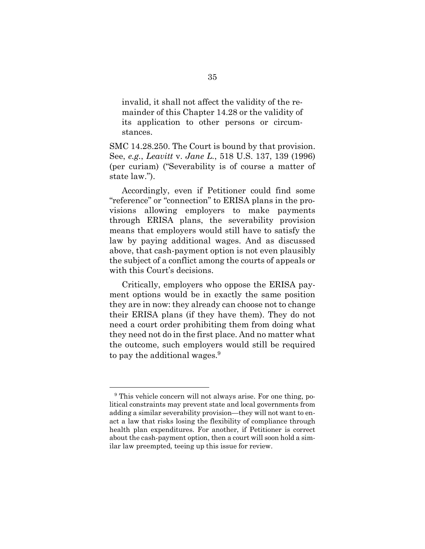invalid, it shall not affect the validity of the remainder of this Chapter 14.28 or the validity of its application to other persons or circumstances.

SMC 14.28.250. The Court is bound by that provision. See, *e.g.*, *Leavitt* v. *Jane L.*, 518 U.S. 137, 139 (1996) (per curiam) ("Severability is of course a matter of state law.").

Accordingly, even if Petitioner could find some "reference" or "connection" to ERISA plans in the provisions allowing employers to make payments through ERISA plans, the severability provision means that employers would still have to satisfy the law by paying additional wages. And as discussed above, that cash-payment option is not even plausibly the subject of a conflict among the courts of appeals or with this Court's decisions.

Critically, employers who oppose the ERISA payment options would be in exactly the same position they are in now: they already can choose not to change their ERISA plans (if they have them). They do not need a court order prohibiting them from doing what they need not do in the first place. And no matter what the outcome, such employers would still be required to pay the additional wages.<sup>9</sup>

<sup>&</sup>lt;sup>9</sup> This vehicle concern will not always arise. For one thing, political constraints may prevent state and local governments from adding a similar severability provision—they will not want to enact a law that risks losing the flexibility of compliance through health plan expenditures. For another, if Petitioner is correct about the cash-payment option, then a court will soon hold a similar law preempted, teeing up this issue for review.